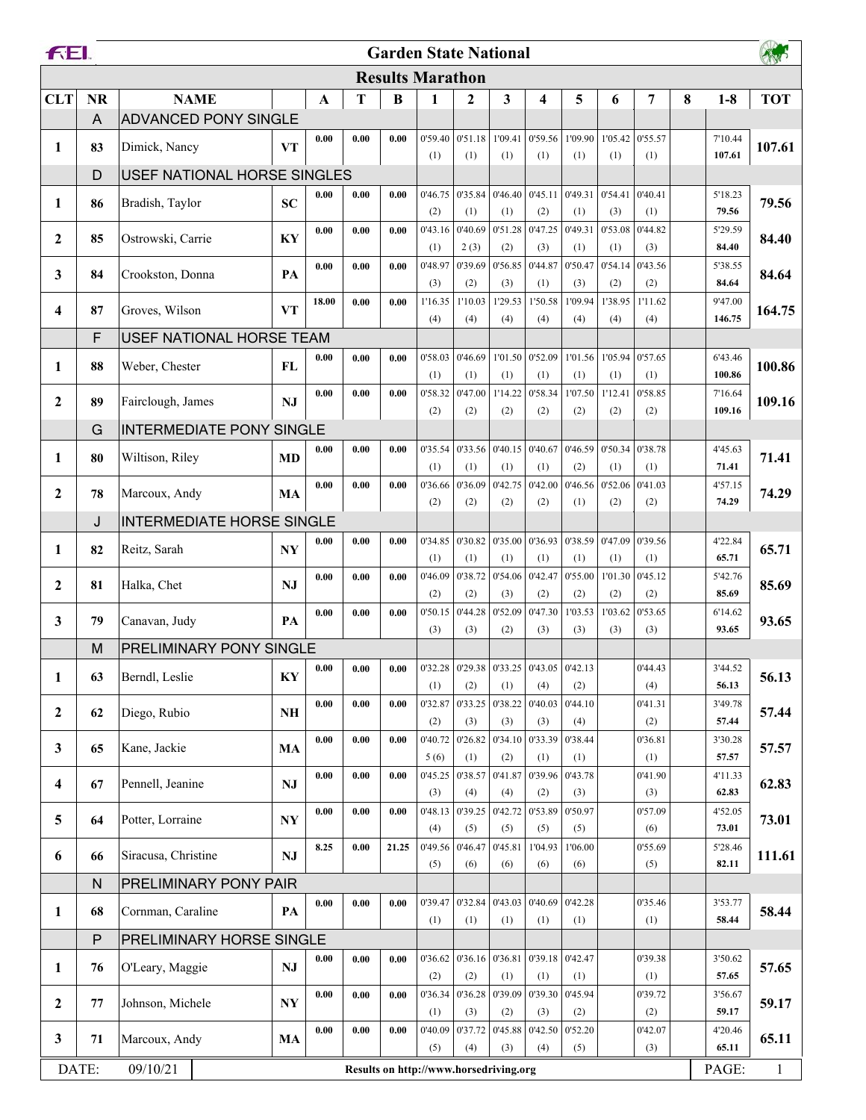| FEI.                                                        |                | <b>Garden State National</b>     |                        |                     |                     |          |                 |                |                |                                                           |                |                |                |   |                   |            |
|-------------------------------------------------------------|----------------|----------------------------------|------------------------|---------------------|---------------------|----------|-----------------|----------------|----------------|-----------------------------------------------------------|----------------|----------------|----------------|---|-------------------|------------|
|                                                             |                | <b>Results Marathon</b>          |                        |                     |                     |          |                 |                |                |                                                           |                |                |                |   |                   |            |
| <b>CLT</b>                                                  | <b>NR</b>      | <b>NAME</b>                      |                        | $\mathbf A$         | T                   | $\bf{B}$ | 1               | $\mathbf{2}$   | 3              | 4                                                         | 5              | 6              | 7              | 8 | $1-8$             | <b>TOT</b> |
|                                                             | $\overline{A}$ | <b>ADVANCED PONY SINGLE</b>      |                        |                     |                     |          |                 |                |                |                                                           |                |                |                |   |                   |            |
| 1                                                           | 83             | Dimick, Nancy                    | <b>VT</b>              | 0.00                | 0.00                | 0.00     | 0'59.40         | 0'51.18        | 1'09.41        | 0'59.56                                                   | 1'09.90        | 1'05.42        | 0'55.57        |   | 7'10.44           | 107.61     |
|                                                             |                |                                  |                        |                     |                     |          | (1)             | (1)            | (1)            | (1)                                                       | (1)            | (1)            | (1)            |   | 107.61            |            |
|                                                             | D              | USEF NATIONAL HORSE SINGLES      |                        |                     |                     |          |                 |                |                |                                                           |                |                |                |   |                   |            |
| 1                                                           | 86             | Bradish, Taylor                  | <b>SC</b>              | 0.00                | 0.00                | 0.00     | 0'46.75         | 0'35.84        | 0'46.40        | 0'45.11                                                   | 0'49.31        | 0'54.41        | 0'40.41        |   | 5'18.23           | 79.56      |
|                                                             |                |                                  |                        |                     |                     | 0.00     | (2)             | (1)<br>0'40.69 | (1)<br>0'51.28 | (2)<br>0'47.25                                            | (1)<br>0'49.31 | (3)<br>0'53.08 | (1)<br>0'44.82 |   | 79.56             |            |
| 2                                                           | 85             | Ostrowski, Carrie                | KY                     | 0.00                | 0.00                |          | 0'43.16<br>(1)  | 2(3)           | (2)            | (3)                                                       | (1)            | (1)            | (3)            |   | 5'29.59<br>84.40  | 84.40      |
|                                                             |                |                                  |                        | 0.00                | 0.00                | 0.00     | 0'48.97         | 0'39.69        | 0'56.85        | 0'44.87                                                   | 0'50.47        | 0'54.14        | 0'43.56        |   | 5'38.55           |            |
| 3                                                           | 84             | Crookston, Donna                 | PA                     |                     |                     |          | (3)             | (2)            | (3)            | (1)                                                       | (3)            | (2)            | (2)            |   | 84.64             | 84.64      |
| 4                                                           | 87             | Groves, Wilson                   | <b>VT</b>              | 18.00               | 0.00                | 0.00     | 1'16.35         | 1'10.03        | 1'29.53        | 1'50.58                                                   | 1'09.94        | 1'38.95        | 1'11.62        |   | 9'47.00           | 164.75     |
|                                                             |                |                                  |                        |                     |                     |          | (4)             | (4)            | (4)            | (4)                                                       | (4)            | (4)            | (4)            |   | 146.75            |            |
|                                                             | F              | USEF NATIONAL HORSE TEAM         |                        |                     |                     |          |                 |                |                |                                                           |                |                |                |   |                   |            |
| 1                                                           | 88             | Weber, Chester                   | FL                     | 0.00                | 0.00                | 0.00     | 0'58.03         | 0'46.69        | 1'01.50        | 0'52.09                                                   | 1'01.56        | 1'05.94        | 0'57.65        |   | 6'43.46           | 100.86     |
|                                                             |                |                                  |                        |                     |                     |          | (1)             | (1)            | (1)            | (1)                                                       | (1)            | (1)            | (1)            |   | 100.86            |            |
| $\mathbf{2}$                                                | 89             | Fairclough, James                | NJ                     | 0.00                | 0.00                | 0.00     | 0'58.32<br>(2)  | 0'47.00<br>(2) | 1'14.22<br>(2) | 0'58.34<br>(2)                                            | 1'07.50<br>(2) | 1'12.41<br>(2) | 0'58.85<br>(2) |   | 7'16.64<br>109.16 | 109.16     |
|                                                             | G              | <b>INTERMEDIATE PONY SINGLE</b>  |                        |                     |                     |          |                 |                |                |                                                           |                |                |                |   |                   |            |
|                                                             |                |                                  |                        | 0.00                | 0.00                | 0.00     | 0'35.54         | 0'33.56        | 0'40.15        | 0'40.67                                                   | 0'46.59        | 0'50.34        | 0'38.78        |   | 4'45.63           |            |
| 1                                                           | 80             | Wiltison, Riley                  | <b>MD</b>              |                     |                     |          | (1)             | (1)            | (1)            | (1)                                                       | (2)            | (1)            | (1)            |   | 71.41             | 71.41      |
| $\mathbf{2}$                                                | 78             | Marcoux, Andy                    | MA                     | 0.00                | 0.00                | 0.00     | 0'36.66         | 0'36.09        | 0'42.75        | 0'42.00                                                   | 0'46.56        | 0'52.06        | 0'41.03        |   | 4'57.15           | 74.29      |
|                                                             |                |                                  |                        |                     |                     |          | (2)             | (2)            | (2)            | (2)                                                       | (1)            | (2)            | (2)            |   | 74.29             |            |
|                                                             | J              | <b>INTERMEDIATE HORSE SINGLE</b> |                        |                     |                     |          |                 |                |                |                                                           |                |                |                |   |                   |            |
| 1                                                           | 82             | Reitz, Sarah                     | <b>NY</b>              | 0.00                | 0.00                | 0.00     | 0'34.85         | 0'30.82        | 0'35.00        | 0'36.93                                                   | 0'38.59        | 0'47.09        | 0'39.56        |   | 4'22.84           | 65.71      |
|                                                             |                |                                  |                        |                     |                     |          | (1)             | (1)            | (1)            | (1)                                                       | (1)            | (1)            | (1)            |   | 65.71             |            |
| $\mathbf{2}$                                                | 81             | Halka, Chet                      | NJ                     | 0.00                | 0.00                | 0.00     | 0'46.09<br>(2)  | 0'38.72<br>(2) | 0'54.06<br>(3) | 0'42.47<br>(2)                                            | 0'55.00<br>(2) | 1'01.30<br>(2) | 0'45.12<br>(2) |   | 5'42.76<br>85.69  | 85.69      |
|                                                             |                |                                  |                        | 0.00                | 0.00                | 0.00     | 0'50.15         | 0'44.28        | 0'52.09        | 0'47.30                                                   | 1'03.53        | 1'03.62        | 0'53.65        |   | 6'14.62           |            |
| 3                                                           | 79             | Canavan, Judy                    | PA                     |                     |                     |          | (3)             | (3)            | (2)            | (3)                                                       | (3)            | (3)            | (3)            |   | 93.65             | 93.65      |
|                                                             | M              | PRELIMINARY PONY SINGLE          |                        |                     |                     |          |                 |                |                |                                                           |                |                |                |   |                   |            |
| 1                                                           | 63             | Berndl, Leslie                   | KY                     | 0.00                | $\boldsymbol{0.00}$ | 0.00     |                 |                |                | $0'32.28$   $0'29.38$   $0'33.25$   $0'43.05$   $0'42.13$ |                |                | 0'44.43        |   | 3'44.52           | 56.13      |
|                                                             |                |                                  |                        |                     |                     |          | (1)             | (2)            | (1)            | (4)                                                       | (2)            |                | (4)            |   | 56.13             |            |
| $\boldsymbol{2}$                                            | 62             | Diego, Rubio                     | $\mathbf{N}\mathbf{H}$ | $\boldsymbol{0.00}$ | 0.00                | 0.00     | 0'32.87         | 0'33.25        | 0'38.22        | 0'40.03                                                   | 0'44.10        |                | 0'41.31        |   | 3'49.78           | 57.44      |
|                                                             |                |                                  |                        |                     |                     |          | (2)             | (3)<br>0'26.82 | (3)<br>0'34.10 | (3)<br>0'33.39                                            | (4)<br>0'38.44 |                | (2)            |   | 57.44             |            |
| 3                                                           | 65             | Kane, Jackie                     | MA                     | 0.00                | 0.00                | 0.00     | 0'40.72<br>5(6) | (1)            | (2)            | (1)                                                       | (1)            |                | 0'36.81<br>(1) |   | 3'30.28<br>57.57  | 57.57      |
|                                                             |                |                                  |                        | 0.00                | 0.00                | 0.00     | 0'45.25         | 0'38.57        | 0'41.87        | 0'39.96                                                   | 0'43.78        |                | 0'41.90        |   | 4'11.33           |            |
| 4                                                           | 67             | Pennell, Jeanine                 | NJ                     |                     |                     |          | (3)             | (4)            | (4)            | (2)                                                       | (3)            |                | (3)            |   | 62.83             | 62.83      |
| 5                                                           | 64             | Potter, Lorraine                 | $\mathbf{N}\mathbf{Y}$ | 0.00                | 0.00                | 0.00     | 0'48.13         | 0'39.25        | 0'42.72        | 0'53.89                                                   | 0'50.97        |                | 0'57.09        |   | 4'52.05           | 73.01      |
|                                                             |                |                                  |                        |                     |                     |          | (4)             | (5)            | (5)            | (5)                                                       | (5)            |                | (6)            |   | 73.01             |            |
| 6                                                           | 66             | Siracusa, Christine              | NJ                     | 8.25                | 0.00                | 21.25    | 0'49.56         | 0'46.47        | 0'45.81        | 1'04.93                                                   | 1'06.00        |                | 0'55.69        |   | 5'28.46           | 111.61     |
|                                                             |                |                                  |                        |                     |                     |          | (5)             | (6)            | (6)            | (6)                                                       | (6)            |                | (5)            |   | 82.11             |            |
|                                                             | ${\sf N}$      | PRELIMINARY PONY PAIR            |                        | 0.00                | $\boldsymbol{0.00}$ | 0.00     | 0'39.47         | 0'32.84        | 0'43.03        | 0'40.69                                                   | 0'42.28        |                | 0'35.46        |   | 3'53.77           |            |
| $\mathbf{1}$                                                | 68             | Cornman, Caraline                | PA                     |                     |                     |          | (1)             | (1)            | (1)            | (1)                                                       | (1)            |                | (1)            |   | 58.44             | 58.44      |
|                                                             | ${\sf P}$      | PRELIMINARY HORSE SINGLE         |                        |                     |                     |          |                 |                |                |                                                           |                |                |                |   |                   |            |
|                                                             |                |                                  |                        | 0.00                | 0.00                | 0.00     | 0'36.62         | 0'36.16        | 0'36.81        | 0'39.18                                                   | 0'42.47        |                | 0'39.38        |   | 3'50.62           |            |
| 1                                                           | 76             | O'Leary, Maggie                  | NJ                     |                     |                     |          | (2)             | (2)            | (1)            | (1)                                                       | (1)            |                | (1)            |   | 57.65             | 57.65      |
| $\boldsymbol{2}$                                            | 77             | Johnson, Michele                 | $\mathbf{N}\mathbf{Y}$ | 0.00                | 0.00                | 0.00     | 0'36.34         | 0'36.28        | 0'39.09        | 0'39.30                                                   | 0'45.94        |                | 0'39.72        |   | 3'56.67           | 59.17      |
|                                                             |                |                                  |                        |                     |                     |          | (1)             | (3)            | (2)            | (3)                                                       | (2)            |                | (2)            |   | 59.17             |            |
| 3                                                           | 71             | Marcoux, Andy                    | MA                     | 0.00                | 0.00                | 0.00     | 0'40.09         | 0'37.72        | 0'45.88        | 0'42.50                                                   | 0'52.20        |                | 0'42.07        |   | 4'20.46           | 65.11      |
|                                                             |                |                                  |                        |                     |                     |          | (5)             | (4)            | (3)            | (4)                                                       | (5)            |                | (3)            |   | 65.11             |            |
| DATE:<br>09/10/21<br>Results on http://www.horsedriving.org |                |                                  |                        |                     |                     |          |                 |                | PAGE:          | $\mathbf{1}$                                              |                |                |                |   |                   |            |